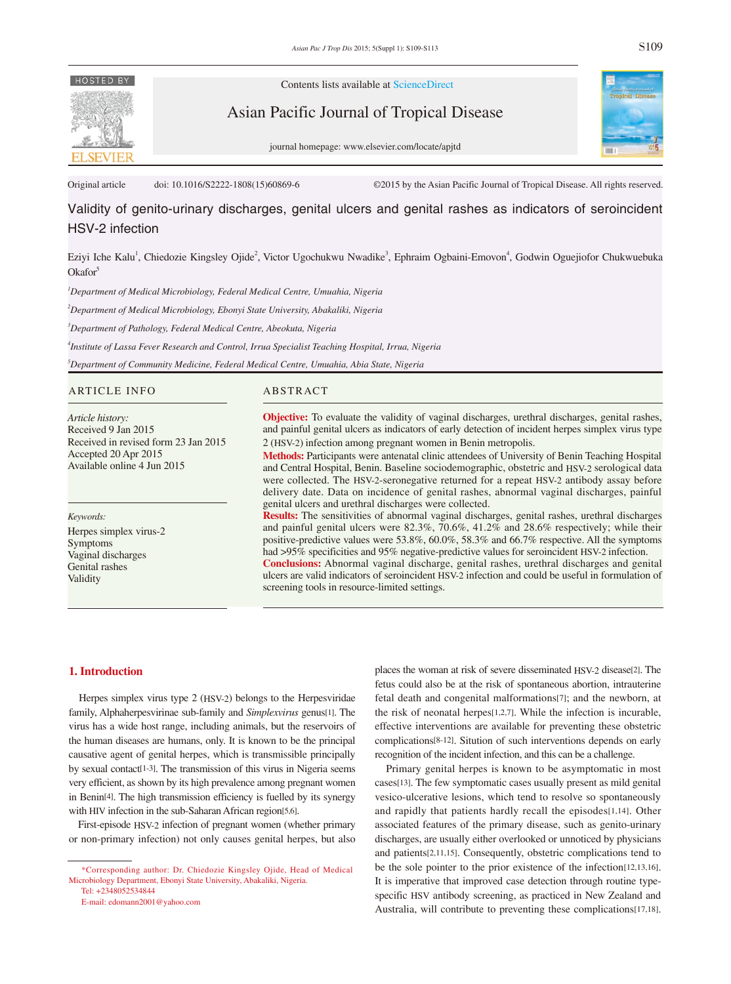# **HOSTED BY**

Contents lists available at ScienceDirect

Asian Pacific Journal of Tropical Disease



journal homepage: www.elsevier.com/locate/apjtd

Original article doi: 10.1016/S2222-1808(15)60869-6 ©2015 by the Asian Pacific Journal of Tropical Disease. All rights reserved.

# Validity of genito-urinary discharges, genital ulcers and genital rashes as indicators of seroincident HSV-2 infection

Eziyi Iche Kalu<sup>1</sup>, Chiedozie Kingsley Ojide<sup>2</sup>, Victor Ugochukwu Nwadike<sup>3</sup>, Ephraim Ogbaini-Emovon<sup>4</sup>, Godwin Oguejiofor Chukwuebuka  $Okator<sup>5</sup>$ 

*1 Department of Medical Microbiology, Federal Medical Centre, Umuahia, Nigeria*

*2 Department of Medical Microbiology, Ebonyi State University, Abakaliki, Nigeria* 

*3 Department of Pathology, Federal Medical Centre, Abeokuta, Nigeria*

*4 Institute of Lassa Fever Research and Control, Irrua Specialist Teaching Hospital, Irrua, Nigeria*

*5 Department of Community Medicine, Federal Medical Centre, Umuahia, Abia State, Nigeria*

#### ARTICLE INFO ABSTRACT

*Article history:* Received 9 Jan 2015 Received in revised form 23 Jan 2015 Accepted 20 Apr 2015 Available online 4 Jun 2015

*Keywords:*

Herpes simplex virus-2 Symptoms Vaginal discharges Genital rashes Validity

**Objective:** To evaluate the validity of vaginal discharges, urethral discharges, genital rashes, and painful genital ulcers as indicators of early detection of incident herpes simplex virus type 2 (HSV-2) infection among pregnant women in Benin metropolis.

**Methods:** Participants were antenatal clinic attendees of University of Benin Teaching Hospital and Central Hospital, Benin. Baseline sociodemographic, obstetric and HSV-2 serological data were collected. The HSV-2-seronegative returned for a repeat HSV-2 antibody assay before delivery date. Data on incidence of genital rashes, abnormal vaginal discharges, painful genital ulcers and urethral discharges were collected.

**Results:** The sensitivities of abnormal vaginal discharges, genital rashes, urethral discharges and painful genital ulcers were 82.3%, 70.6%, 41.2% and 28.6% respectively; while their positive-predictive values were 53.8%, 60.0%, 58.3% and 66.7% respective. All the symptoms had >95% specificities and 95% negative-predictive values for seroincident HSV-2 infection. **Conclusions:** Abnormal vaginal discharge, genital rashes, urethral discharges and genital ulcers are valid indicators of seroincident HSV-2 infection and could be useful in formulation of screening tools in resource-limited settings.

#### **1. Introduction**

 Herpes simplex virus type 2 (HSV-2) belongs to the Herpesviridae family, Alphaherpesvirinae sub-family and *Simplexvirus* genus[1]. The virus has a wide host range, including animals, but the reservoirs of the human diseases are humans, only. It is known to be the principal causative agent of genital herpes, which is transmissible principally by sexual contact[1-3]. The transmission of this virus in Nigeria seems very efficient, as shown by its high prevalence among pregnant women in Benin[4]. The high transmission efficiency is fuelled by its synergy with HIV infection in the sub-Saharan African region[5,6].

 First-episode HSV-2 infection of pregnant women (whether primary or non-primary infection) not only causes genital herpes, but also

 Tel: +2348052534844 E-mail: edomann2001@yahoo.com places the woman at risk of severe disseminated HSV-2 disease[2]. The fetus could also be at the risk of spontaneous abortion, intrauterine fetal death and congenital malformations[7]; and the newborn, at the risk of neonatal herpes[1,2,7]. While the infection is incurable, effective interventions are available for preventing these obstetric complications[8-12]. Sitution of such interventions depends on early recognition of the incident infection, and this can be a challenge.

 Primary genital herpes is known to be asymptomatic in most cases[13]. The few symptomatic cases usually present as mild genital vesico-ulcerative lesions, which tend to resolve so spontaneously and rapidly that patients hardly recall the episodes[1,14]. Other associated features of the primary disease, such as genito-urinary discharges, are usually either overlooked or unnoticed by physicians and patients[2,11,15]. Consequently, obstetric complications tend to be the sole pointer to the prior existence of the infection[12,13,16]. It is imperative that improved case detection through routine typespecific HSV antibody screening, as practiced in New Zealand and Australia, will contribute to preventing these complications[17,18].

 <sup>\*</sup>Corresponding author: Dr. Chiedozie Kingsley Ojide, Head of Medical Microbiology Department, Ebonyi State University, Abakaliki, Nigeria.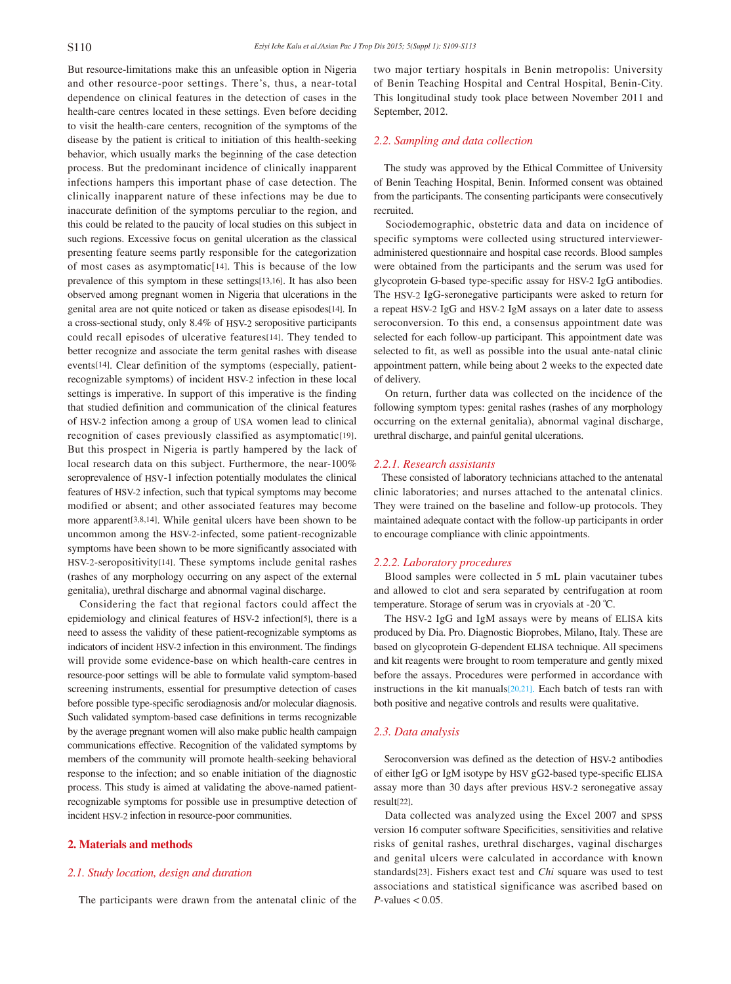But resource-limitations make this an unfeasible option in Nigeria and other resource-poor settings. There's, thus, a near-total dependence on clinical features in the detection of cases in the health-care centres located in these settings. Even before deciding to visit the health-care centers, recognition of the symptoms of the disease by the patient is critical to initiation of this health-seeking behavior, which usually marks the beginning of the case detection process. But the predominant incidence of clinically inapparent infections hampers this important phase of case detection. The clinically inapparent nature of these infections may be due to inaccurate definition of the symptoms perculiar to the region, and this could be related to the paucity of local studies on this subject in such regions. Excessive focus on genital ulceration as the classical presenting feature seems partly responsible for the categorization of most cases as asymptomatic[14]. This is because of the low prevalence of this symptom in these settings[13,16]. It has also been observed among pregnant women in Nigeria that ulcerations in the genital area are not quite noticed or taken as disease episodes[14]. In a cross-sectional study, only 8.4% of HSV-2 seropositive participants could recall episodes of ulcerative features[14]. They tended to better recognize and associate the term genital rashes with disease events[14]. Clear definition of the symptoms (especially, patientrecognizable symptoms) of incident HSV-2 infection in these local settings is imperative. In support of this imperative is the finding that studied definition and communication of the clinical features of HSV-2 infection among a group of USA women lead to clinical recognition of cases previously classified as asymptomatic<sup>[19]</sup>. But this prospect in Nigeria is partly hampered by the lack of local research data on this subject. Furthermore, the near-100% seroprevalence of HSV-1 infection potentially modulates the clinical features of HSV-2 infection, such that typical symptoms may become modified or absent; and other associated features may become more apparent[3,8,14]. While genital ulcers have been shown to be uncommon among the HSV-2-infected, some patient-recognizable symptoms have been shown to be more significantly associated with HSV-2-seropositivity[14]. These symptoms include genital rashes (rashes of any morphology occurring on any aspect of the external genitalia), urethral discharge and abnormal vaginal discharge.

 Considering the fact that regional factors could affect the epidemiology and clinical features of HSV-2 infection[5], there is a need to assess the validity of these patient-recognizable symptoms as indicators of incident HSV-2 infection in this environment. The findings will provide some evidence-base on which health-care centres in resource-poor settings will be able to formulate valid symptom-based screening instruments, essential for presumptive detection of cases before possible type-specific serodiagnosis and/or molecular diagnosis. Such validated symptom-based case definitions in terms recognizable by the average pregnant women will also make public health campaign communications effective. Recognition of the validated symptoms by members of the community will promote health-seeking behavioral response to the infection; and so enable initiation of the diagnostic process. This study is aimed at validating the above-named patientrecognizable symptoms for possible use in presumptive detection of incident HSV-2 infection in resource-poor communities.

#### **2. Materials and methods**

#### *2.1. Study location, design and duration*

The participants were drawn from the antenatal clinic of the

two major tertiary hospitals in Benin metropolis: University of Benin Teaching Hospital and Central Hospital, Benin-City. This longitudinal study took place between November 2011 and September, 2012.

#### *2.2. Sampling and data collection*

 The study was approved by the Ethical Committee of University of Benin Teaching Hospital, Benin. Informed consent was obtained from the participants. The consenting participants were consecutively recruited.

 Sociodemographic, obstetric data and data on incidence of specific symptoms were collected using structured intervieweradministered questionnaire and hospital case records. Blood samples were obtained from the participants and the serum was used for glycoprotein G-based type-specific assay for HSV-2 IgG antibodies. The HSV-2 IgG-seronegative participants were asked to return for a repeat HSV-2 IgG and HSV-2 IgM assays on a later date to assess seroconversion. To this end, a consensus appointment date was selected for each follow-up participant. This appointment date was selected to fit, as well as possible into the usual ante-natal clinic appointment pattern, while being about 2 weeks to the expected date of delivery.

 On return, further data was collected on the incidence of the following symptom types: genital rashes (rashes of any morphology occurring on the external genitalia), abnormal vaginal discharge, urethral discharge, and painful genital ulcerations.

#### *2.2.1. Research assistants*

 These consisted of laboratory technicians attached to the antenatal clinic laboratories; and nurses attached to the antenatal clinics. They were trained on the baseline and follow-up protocols. They maintained adequate contact with the follow-up participants in order to encourage compliance with clinic appointments.

#### *2.2.2. Laboratory procedures*

 Blood samples were collected in 5 mL plain vacutainer tubes and allowed to clot and sera separated by centrifugation at room temperature. Storage of serum was in cryovials at -20 ºC.

 The HSV-2 IgG and IgM assays were by means of ELISA kits produced by Dia. Pro. Diagnostic Bioprobes, Milano, Italy. These are based on glycoprotein G-dependent ELISA technique. All specimens and kit reagents were brought to room temperature and gently mixed before the assays. Procedures were performed in accordance with instructions in the kit manuals $[20,21]$ . Each batch of tests ran with both positive and negative controls and results were qualitative.

#### *2.3. Data analysis*

 Seroconversion was defined as the detection of HSV-2 antibodies of either IgG or IgM isotype by HSV gG2-based type-specific ELISA assay more than 30 days after previous HSV-2 seronegative assay result[22].

 Data collected was analyzed using the Excel 2007 and SPSS version 16 computer software Specificities, sensitivities and relative risks of genital rashes, urethral discharges, vaginal discharges and genital ulcers were calculated in accordance with known standards[23]. Fishers exact test and *Chi* square was used to test associations and statistical significance was ascribed based on  $P$ -values  $< 0.05$ .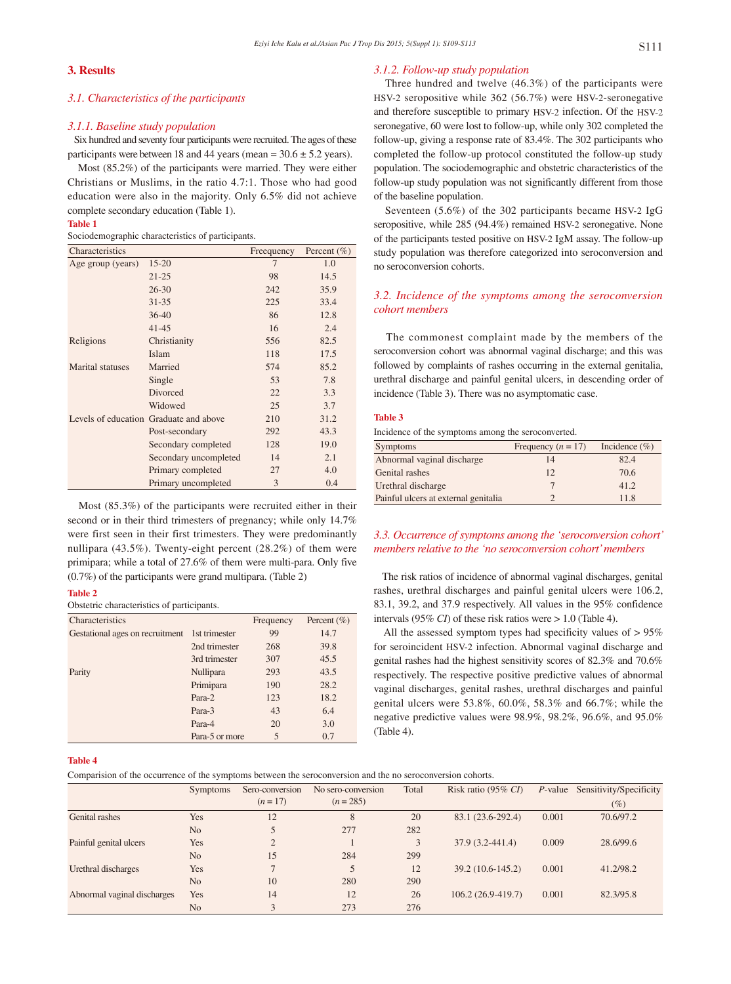# **3. Results**

#### *3.1. Characteristics of the participants*

#### *3.1.1. Baseline study population*

 Six hundred and seventy four participants were recruited. The ages of these participants were between 18 and 44 years (mean =  $30.6 \pm 5.2$  years).

 Most (85.2%) of the participants were married. They were either Christians or Muslims, in the ratio 4.7:1. Those who had good education were also in the majority. Only 6.5% did not achieve complete secondary education (Table 1).

#### **Table 1**

Sociodemographic characteristics of participants.

| Characteristics         |                                        | Freequency | Percent $(\% )$ |
|-------------------------|----------------------------------------|------------|-----------------|
| Age group (years)       | $15 - 20$                              | 7          | 1.0             |
|                         | $21 - 25$                              | 98         | 14.5            |
|                         | $26 - 30$                              | 242        | 35.9            |
|                         | $31 - 35$                              | 225        | 33.4            |
|                         | $36-40$                                | 86         | 12.8            |
|                         | $41 - 45$                              | 16         | 2.4             |
| Religions               | Christianity                           | 556        | 82.5            |
|                         | Islam                                  | 118        | 17.5            |
| <b>Marital</b> statuses | Married                                | 574        | 85.2            |
|                         | Single                                 | 53         | 7.8             |
|                         | Divorced                               | 22         | 3.3             |
|                         | Widowed                                | 25         | 3.7             |
|                         | Levels of education Graduate and above | 210        | 31.2            |
|                         | Post-secondary                         | 292        | 43.3            |
|                         | Secondary completed                    | 128        | 19.0            |
|                         | Secondary uncompleted                  | 14         | 2.1             |
|                         | Primary completed                      | 27         | 4.0             |
|                         | Primary uncompleted                    | 3          | 0.4             |

 Most (85.3%) of the participants were recruited either in their second or in their third trimesters of pregnancy; while only 14.7% were first seen in their first trimesters. They were predominantly nullipara (43.5%). Twenty-eight percent (28.2%) of them were primipara; while a total of 27.6% of them were multi-para. Only five (0.7%) of the participants were grand multipara. (Table 2)

#### **Table 2**

Obstetric characteristics of participants.

| Characteristics                               |                | Frequency | Percent $(\% )$ |
|-----------------------------------------------|----------------|-----------|-----------------|
| Gestational ages on recruitment 1st trimester |                | 99        | 14.7            |
|                                               | 2nd trimester  | 268       | 39.8            |
|                                               | 3rd trimester  | 307       | 45.5            |
| Parity                                        | Nullipara      | 293       | 43.5            |
|                                               | Primipara      | 190       | 28.2            |
|                                               | Para-2         | 123       | 18.2            |
|                                               | Para-3         | 43        | 6.4             |
|                                               | Para-4         | 20        | 3.0             |
|                                               | Para-5 or more | 5         | 0.7             |

#### *3.1.2. Follow-up study population*

 Three hundred and twelve (46.3%) of the participants were HSV-2 seropositive while 362 (56.7%) were HSV-2-seronegative and therefore susceptible to primary HSV-2 infection. Of the HSV-2 seronegative, 60 were lost to follow-up, while only 302 completed the follow-up, giving a response rate of 83.4%. The 302 participants who completed the follow-up protocol constituted the follow-up study population. The sociodemographic and obstetric characteristics of the follow-up study population was not significantly different from those of the baseline population.

 Seventeen (5.6%) of the 302 participants became HSV-2 IgG seropositive, while 285 (94.4%) remained HSV-2 seronegative. None of the participants tested positive on HSV-2 IgM assay. The follow-up study population was therefore categorized into seroconversion and no seroconversion cohorts.

### *3.2. Incidence of the symptoms among the seroconversion cohort members*

 The commonest complaint made by the members of the seroconversion cohort was abnormal vaginal discharge; and this was followed by complaints of rashes occurring in the external genitalia, urethral discharge and painful genital ulcers, in descending order of incidence (Table 3). There was no asymptomatic case.

#### **Table 3**

Incidence of the symptoms among the seroconverted.

| <b>Symptoms</b>                      | Frequency $(n = 17)$ | Incidence $(\% )$ |
|--------------------------------------|----------------------|-------------------|
| Abnormal vaginal discharge           | 14                   | 82.4              |
| Genital rashes                       | 12                   | 70.6              |
| Urethral discharge                   |                      | 41.2              |
| Painful ulcers at external genitalia |                      | 11.8              |

# *3.3. Occurrence of symptoms among the 'seroconversion cohort' members relative to the 'no seroconversion cohort' members*

 The risk ratios of incidence of abnormal vaginal discharges, genital rashes, urethral discharges and painful genital ulcers were 106.2, 83.1, 39.2, and 37.9 respectively. All values in the 95% confidence intervals (95% *CI*) of these risk ratios were > 1.0 (Table 4).

 All the assessed symptom types had specificity values of > 95% for seroincident HSV-2 infection. Abnormal vaginal discharge and genital rashes had the highest sensitivity scores of 82.3% and 70.6% respectively. The respective positive predictive values of abnormal vaginal discharges, genital rashes, urethral discharges and painful genital ulcers were 53.8%, 60.0%, 58.3% and 66.7%; while the negative predictive values were 98.9%, 98.2%, 96.6%, and 95.0% (Table 4).

#### **Table 4**

Comparision of the occurrence of the symptoms between the seroconversion and the no seroconversion cohorts.

|                             | <b>Symptoms</b> | Sero-conversion | No sero-conversion | Total | Risk ratio $(95\% \text{ CI})$ |       | P-value Sensitivity/Specificity |
|-----------------------------|-----------------|-----------------|--------------------|-------|--------------------------------|-------|---------------------------------|
|                             |                 | $(n=17)$        | $(n = 285)$        |       |                                |       | $(\%)$                          |
| Genital rashes              | Yes             | 12              | 8                  | 20    | 83.1 (23.6-292.4)              | 0.001 | 70.6/97.2                       |
|                             | N <sub>o</sub>  | 5               | 277                | 282   |                                |       |                                 |
| Painful genital ulcers      | Yes             | 2               |                    | 3     | $37.9(3.2 - 441.4)$            | 0.009 | 28.6/99.6                       |
|                             | N <sub>o</sub>  | 15              | 284                | 299   |                                |       |                                 |
| Urethral discharges         | Yes             |                 |                    | 12    | $39.2(10.6-145.2)$             | 0.001 | 41.2/98.2                       |
|                             | N <sub>o</sub>  | 10              | 280                | 290   |                                |       |                                 |
| Abnormal vaginal discharges | Yes             | 14              | 12                 | 26    | $106.2(26.9-419.7)$            | 0.001 | 82.3/95.8                       |
|                             | N <sub>o</sub>  | 3               | 273                | 276   |                                |       |                                 |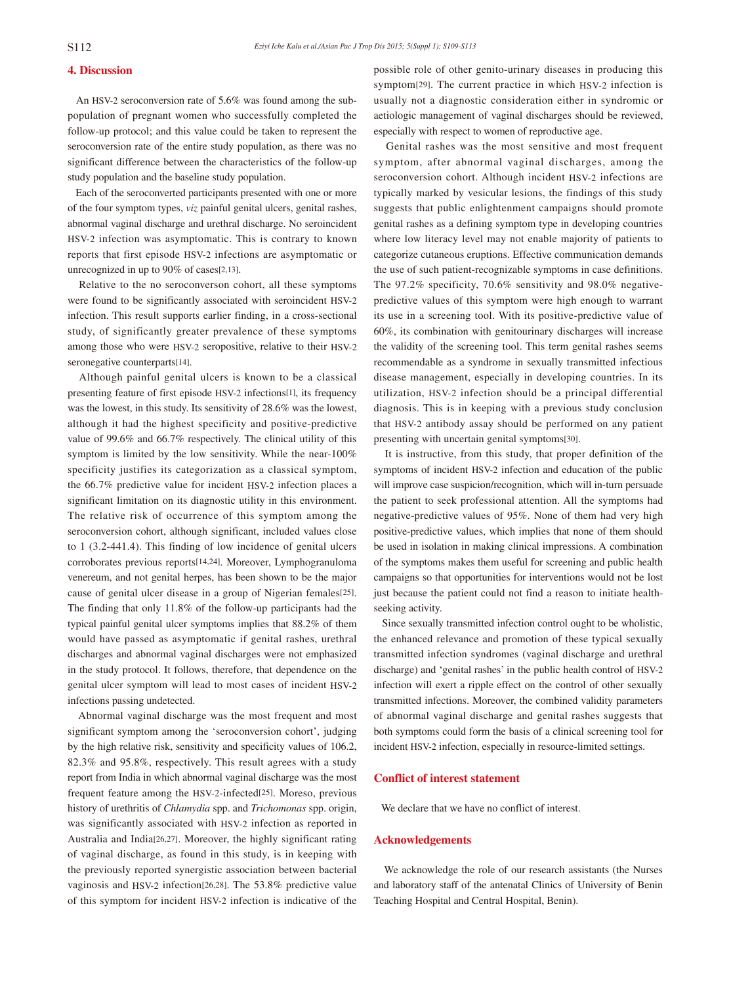# **4. Discussion**

 An HSV-2 seroconversion rate of 5.6% was found among the subpopulation of pregnant women who successfully completed the follow-up protocol; and this value could be taken to represent the seroconversion rate of the entire study population, as there was no significant difference between the characteristics of the follow-up study population and the baseline study population.

 Each of the seroconverted participants presented with one or more of the four symptom types, *viz* painful genital ulcers, genital rashes, abnormal vaginal discharge and urethral discharge. No seroincident HSV-2 infection was asymptomatic. This is contrary to known reports that first episode HSV-2 infections are asymptomatic or unrecognized in up to 90% of cases[2,13].

 Relative to the no seroconverson cohort, all these symptoms were found to be significantly associated with seroincident HSV-2 infection. This result supports earlier finding, in a cross-sectional study, of significantly greater prevalence of these symptoms among those who were HSV-2 seropositive, relative to their HSV-2 seronegative counterparts[14].

 Although painful genital ulcers is known to be a classical presenting feature of first episode HSV-2 infections[1], its frequency was the lowest, in this study. Its sensitivity of 28.6% was the lowest, although it had the highest specificity and positive-predictive value of 99.6% and 66.7% respectively. The clinical utility of this symptom is limited by the low sensitivity. While the near-100% specificity justifies its categorization as a classical symptom, the 66.7% predictive value for incident HSV-2 infection places a significant limitation on its diagnostic utility in this environment. The relative risk of occurrence of this symptom among the seroconversion cohort, although significant, included values close to 1 (3.2-441.4). This finding of low incidence of genital ulcers corroborates previous reports[14,24]. Moreover, Lymphogranuloma venereum, and not genital herpes, has been shown to be the major cause of genital ulcer disease in a group of Nigerian females[25]. The finding that only 11.8% of the follow-up participants had the typical painful genital ulcer symptoms implies that 88.2% of them would have passed as asymptomatic if genital rashes, urethral discharges and abnormal vaginal discharges were not emphasized in the study protocol. It follows, therefore, that dependence on the genital ulcer symptom will lead to most cases of incident HSV-2 infections passing undetected.

 Abnormal vaginal discharge was the most frequent and most significant symptom among the 'seroconversion cohort', judging by the high relative risk, sensitivity and specificity values of 106.2, 82.3% and 95.8%, respectively. This result agrees with a study report from India in which abnormal vaginal discharge was the most frequent feature among the HSV-2-infected[25]. Moreso, previous history of urethritis of *Chlamydia* spp. and *Trichomonas* spp. origin, was significantly associated with HSV-2 infection as reported in Australia and India[26,27]. Moreover, the highly significant rating of vaginal discharge, as found in this study, is in keeping with the previously reported synergistic association between bacterial vaginosis and HSV-2 infection[26,28]. The 53.8% predictive value of this symptom for incident HSV-2 infection is indicative of the possible role of other genito-urinary diseases in producing this symptom[29]. The current practice in which HSV-2 infection is usually not a diagnostic consideration either in syndromic or aetiologic management of vaginal discharges should be reviewed, especially with respect to women of reproductive age.

 Genital rashes was the most sensitive and most frequent symptom, after abnormal vaginal discharges, among the seroconversion cohort. Although incident HSV-2 infections are typically marked by vesicular lesions, the findings of this study suggests that public enlightenment campaigns should promote genital rashes as a defining symptom type in developing countries where low literacy level may not enable majority of patients to categorize cutaneous eruptions. Effective communication demands the use of such patient-recognizable symptoms in case definitions. The 97.2% specificity, 70.6% sensitivity and 98.0% negativepredictive values of this symptom were high enough to warrant its use in a screening tool. With its positive-predictive value of 60%, its combination with genitourinary discharges will increase the validity of the screening tool. This term genital rashes seems recommendable as a syndrome in sexually transmitted infectious disease management, especially in developing countries. In its utilization, HSV-2 infection should be a principal differential diagnosis. This is in keeping with a previous study conclusion that HSV-2 antibody assay should be performed on any patient presenting with uncertain genital symptoms[30].

 It is instructive, from this study, that proper definition of the symptoms of incident HSV-2 infection and education of the public will improve case suspicion/recognition, which will in-turn persuade the patient to seek professional attention. All the symptoms had negative-predictive values of 95%. None of them had very high positive-predictive values, which implies that none of them should be used in isolation in making clinical impressions. A combination of the symptoms makes them useful for screening and public health campaigns so that opportunities for interventions would not be lost just because the patient could not find a reason to initiate healthseeking activity.

 Since sexually transmitted infection control ought to be wholistic, the enhanced relevance and promotion of these typical sexually transmitted infection syndromes (vaginal discharge and urethral discharge) and 'genital rashes' in the public health control of HSV-2 infection will exert a ripple effect on the control of other sexually transmitted infections. Moreover, the combined validity parameters of abnormal vaginal discharge and genital rashes suggests that both symptoms could form the basis of a clinical screening tool for incident HSV-2 infection, especially in resource-limited settings.

#### **Conflict of interest statement**

We declare that we have no conflict of interest.

#### **Acknowledgements**

 We acknowledge the role of our research assistants (the Nurses and laboratory staff of the antenatal Clinics of University of Benin Teaching Hospital and Central Hospital, Benin).